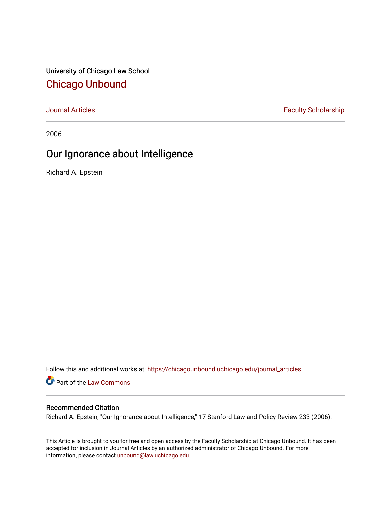University of Chicago Law School [Chicago Unbound](https://chicagounbound.uchicago.edu/)

[Journal Articles](https://chicagounbound.uchicago.edu/journal_articles) **Faculty Scholarship Faculty Scholarship** 

2006

# Our Ignorance about Intelligence

Richard A. Epstein

Follow this and additional works at: [https://chicagounbound.uchicago.edu/journal\\_articles](https://chicagounbound.uchicago.edu/journal_articles?utm_source=chicagounbound.uchicago.edu%2Fjournal_articles%2F1224&utm_medium=PDF&utm_campaign=PDFCoverPages) 

Part of the [Law Commons](http://network.bepress.com/hgg/discipline/578?utm_source=chicagounbound.uchicago.edu%2Fjournal_articles%2F1224&utm_medium=PDF&utm_campaign=PDFCoverPages)

#### Recommended Citation

Richard A. Epstein, "Our Ignorance about Intelligence," 17 Stanford Law and Policy Review 233 (2006).

This Article is brought to you for free and open access by the Faculty Scholarship at Chicago Unbound. It has been accepted for inclusion in Journal Articles by an authorized administrator of Chicago Unbound. For more information, please contact [unbound@law.uchicago.edu](mailto:unbound@law.uchicago.edu).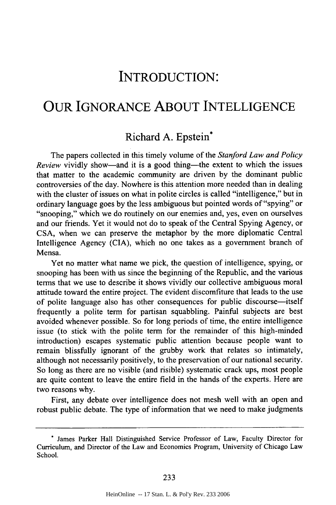# INTRODUCTION:

### OUR **IGNORANCE ABOUT INTELLIGENCE**

#### Richard **A.** Epstein\*

The papers collected in this timely volume of the *Stanford Law and Policy Review vividly show—and it is a good thing—the extent to which the issues* that matter to the academic community are driven by the dominant public controversies of the day. Nowhere is this attention more needed than in dealing with the cluster of issues on what in polite circles is called "intelligence," but in ordinary language goes by the less ambiguous but pointed words of "spying" or "snooping," which we do routinely on our enemies and, yes, even on ourselves and our friends. Yet it would not do to speak of the Central Spying Agency, or CSA, when we can preserve the metaphor by the more diplomatic Central Intelligence Agency (CIA), which no one takes as a government branch of Mensa.

Yet no matter what name we pick, the question of intelligence, spying, or snooping has been with us since the beginning of the Republic, and the various terms that we use to describe it shows vividly our collective ambiguous moral attitude toward the entire project. The evident discomfiture that leads to the use of polite language also has other consequences for public discourse-itself frequently a polite term for partisan squabbling. Painful subjects are best avoided whenever possible. So for long periods of time, the entire intelligence issue (to stick with the polite term for the remainder of this high-minded introduction) escapes systematic public attention because people want to remain blissfully ignorant of the grubby work that relates so intimately, although not necessarily positively, to the preservation of our national security. So long as there are no visible (and risible) systematic crack ups, most people are quite content to leave the entire field in the hands of the experts. Here are two reasons why.

First, any debate over intelligence does not mesh well with an open and robust public debate. The type of information that we need to make judgments

**<sup>\*</sup>** James Parker Hall Distinguished Service Professor of Law, Faculty Director for Curriculum, and Director of the Law and Economics Program, University of Chicago Law School.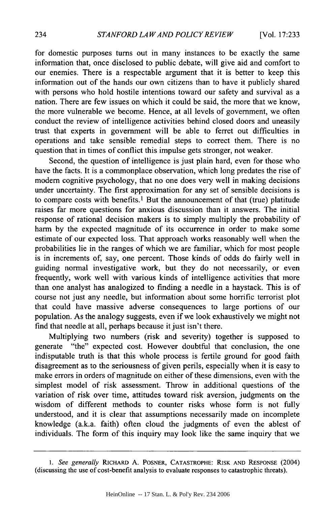for domestic purposes turns out in many instances to be exactly the same information that, once disclosed to public debate, will give aid and comfort to our enemies. There is a respectable argument that it is better to keep this information out of the hands our own citizens than to have it publicly shared with persons who hold hostile intentions toward our safety and survival as a nation. There are few issues on which it could be said, the more that we know, the more vulnerable we become. Hence, at all levels of government, we often conduct the review of intelligence activities behind closed doors and uneasily trust that experts in government will be able to ferret out difficulties in operations and take sensible remedial steps to correct them. There is no question that in times of conflict this impulse gets stronger, not weaker.

Second, the question of intelligence is just plain hard, even for those who have the facts. It is a commonplace observation, which long predates the rise of modem cognitive psychology, that no one does very well in making decisions under uncertainty. The first approximation for any set of sensible decisions is to compare costs with benefits.1 But the announcement of that (true) platitude raises far more questions for anxious discussion than it answers. The initial response of rational decision makers is to simply multiply the probability of harm by the expected magnitude of its occurrence in order to make some estimate of our expected loss. That approach works reasonably well when the probabilities lie in the ranges of which we are familiar, which for most people is in increments of, say, one percent. Those kinds of odds do fairly well in guiding normal investigative work, but they do not necessarily, or even frequently, work well with various kinds of intelligence activities that more than one analyst has analogized to finding a needle in a haystack. This is of course not just any needle, but information about some horrific terrorist plot that could have massive adverse consequences to large portions of our population. As the analogy suggests, even if we look exhaustively we might not find that needle at all, perhaps because it just isn't there.

Multiplying two numbers (risk and severity) together is supposed to generate "the" expected cost. However doubtful that conclusion, the one indisputable truth is that this whole process is fertile ground for good faith disagreement as to the seriousness of given perils, especially when it is easy to make errors in orders of magnitude on either of these dimensions, even with the simplest model of risk assessment. Throw in additional questions of the variation of risk over time, attitudes toward risk aversion, judgments on the wisdom of different methods to counter risks whose form is not fully understood, and it is clear that assumptions necessarily made on incomplete knowledge (a.k.a. faith) often cloud the judgments of even the ablest of individuals. The form of this inquiry may look like the same inquiry that we

*<sup>1.</sup> See generally* RICHARD **A.** POSNER, CATASTROPHE: RISK **AND RESPONSE** (2004) (discussing the use of cost-benefit analysis to evaluate responses to catastrophic threats).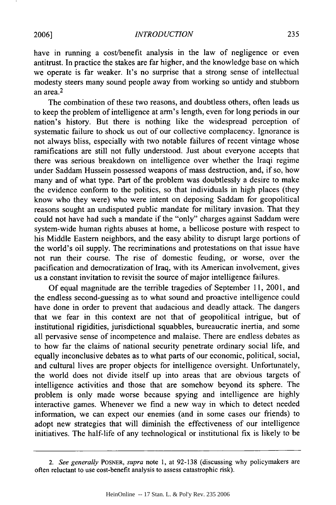235

have in running a cost/benefit analysis in the law of negligence or even antitrust. In practice the stakes are far higher, and the knowledge base on which we operate is far weaker. It's no surprise that a strong sense of intellectual modesty steers many sound people away from working so untidy and stubborn an area. 2

The combination of these two reasons, and doubtless others, often leads us to keep the problem of intelligence at arm's length, even for long periods in our nation's history. But there is nothing like the widespread perception of systematic failure to shock us out of our collective complacency. Ignorance is not always bliss, especially with two notable failures of recent vintage whose ramifications are still not fully understood. Just about everyone accepts that there was serious breakdown on intelligence over whether the Iraqi regime under Saddam Hussein possessed weapons of mass destruction, and, if so, how many and of what type. Part of the problem was doubtlessly a desire to make the evidence conform to the politics, so that individuals in high places (they know who they were) who were intent on deposing Saddam for geopolitical reasons sought an undisputed public mandate for military invasion. That they could not have had such a mandate if the "only" charges against Saddam were system-wide human rights abuses at home, a bellicose posture with respect to his Middle Eastern neighbors, and the easy ability to disrupt large portions of the world's oil supply. The recriminations and protestations on that issue have not run their course. The rise of domestic feuding, or worse, over the pacification and democratization of Iraq, with its American involvement, gives us a constant invitation to revisit the source of major intelligence failures.

Of equal magnitude are the terrible tragedies of September 11, 2001, and the endless second-guessing as to what sound and proactive intelligence could have done in order to prevent that audacious and deadly attack. The dangers that we fear in this context are not that of geopolitical intrigue, but of institutional rigidities, jurisdictional squabbles, bureaucratic inertia, and some all pervasive sense of incompetence and malaise. There are endless debates as to how far the claims of national security penetrate ordinary social life, and equally inconclusive debates as to what parts of our economic, political, social, and cultural lives are proper objects for intelligence oversight. Unfortunately, the world does not divide itself up into areas that are obvious targets of intelligence activities and those that are somehow beyond its sphere. The problem is only made worse because spying and intelligence are highly interactive games. Whenever we find a new way in which to detect needed information, we can expect our enemies (and in some cases our friends) to adopt new strategies that will diminish the effectiveness of our intelligence initiatives. The half-life of any technological or institutional fix is likely to be

*<sup>2.</sup> See generally* POSNER, *supra* note 1, at 92-138 (discussing why policymakers are often reluctant to use cost-benefit analysis to assess catastrophic risk).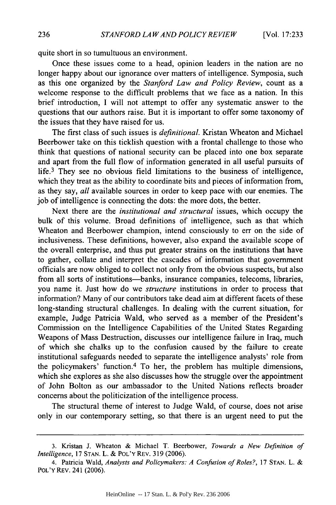quite short in so tumultuous an environment.

Once these issues come to a head, opinion leaders in the nation are no longer happy about our ignorance over matters of intelligence. Symposia, such as this one organized by the *Stanford Law and Policy Review,* count as a welcome response to the difficult problems that we face as a nation. In this brief introduction, I will not attempt to offer any systematic answer to the questions that our authors raise. But it is important to offer some taxonomy of the issues that they have raised for us.

The first class of such issues is *definitional.* Kristan Wheaton and Michael Beerbower take on this ticklish question with a frontal challenge to those who think that questions of national security can be placed into one box separate and apart from the full flow of information generated in all useful pursuits of life.<sup>3</sup> They see no obvious field limitations to the business of intelligence, which they treat as the ability to coordinate bits and pieces of information from, as they say, *all* available sources in order to keep pace with our enemies. The job of intelligence is connecting the dots: the more dots, the better.

Next there are the *institutional and structural* issues, which occupy the bulk of this volume. Broad definitions of intelligence, such as that which Wheaton and Beerbower champion, intend consciously to err on the side of inclusiveness. These definitions, however, also expand the available scope of the overall enterprise, and thus put greater strains on the institutions that have to gather, collate and interpret the cascades of information that government officials are now obliged to collect not only from the obvious suspects, but also from all sorts of institutions—banks, insurance companies, telecoms, libraries, you name it. Just how do we *structure* institutions in order to process that information? Many of our contributors take dead aim at different facets of these long-standing structural challenges. In dealing with the current situation, for example, Judge Patricia Wald, who served as a member of the President's Commission on the Intelligence Capabilities of the United States Regarding Weapons of Mass Destruction, discusses our intelligence failure in Iraq, much of which she chalks up to the confusion caused by the failure to create institutional safeguards needed to separate the intelligence analysts' role from the policymakers' function.4 To her, the problem has multiple dimensions, which she explores as she also discusses how the struggle over the appointment of John Bolton as our ambassador to the United Nations reflects broader concerns about the politicization of the intelligence process.

The structural theme of interest to Judge Wald, of course, does not arise only in our contemporary setting, so that there is an urgent need to put the

<sup>3.</sup> Kristan J. Wheaton & Michael T. Beerbower, *Towards a New Definition of Intelligence,* 17 STAN. L. & POL'Y REv. 319 (2006).

<sup>4.</sup> Patricia Wald, *Analysts and Policymnakers: A Confusion of Roles?,* 17 STAN. L. & POL'Y REv. 241 (2006).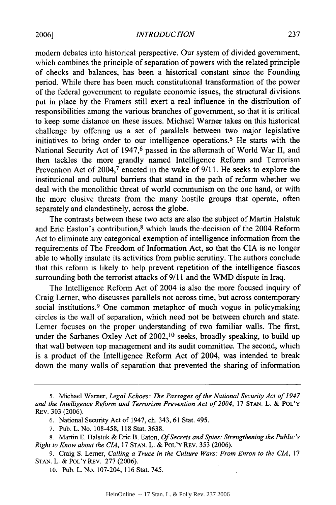*INTRODUCTION*

modem debates into historical perspective. Our system of divided government, which combines the principle of separation of powers with the related principle of checks and balances, has been a historical constant since the Founding period. While there has been much constitutional transformation of the power of the federal government to regulate economic issues, the structural divisions put in place by the Framers still exert a real influence in the distribution of responsibilities among the various branches of government, so that it is critical to keep some distance on these issues. Michael Warner takes on this historical challenge by offering us a set of parallels between two major legislative initiatives to bring order to our intelligence operations.<sup>5</sup> He starts with the National Security Act of 1947,<sup>6</sup> passed in the aftermath of World War II, and then tackles the more grandly named Intelligence Reform and Terrorism Prevention Act of 2004,<sup>7</sup> enacted in the wake of 9/11. He seeks to explore the institutional and cultural barriers that stand in the path of reform whether we deal with the monolithic threat of world communism on the one hand, or with the more elusive threats from the many hostile groups that operate, often separately and clandestinely, across the globe.

The contrasts between these two acts are also the subject of Martin Halstuk and Eric Easton's contribution,<sup>8</sup> which lauds the decision of the 2004 Reform Act to eliminate any categorical exemption of intelligence information from the requirements of The Freedom of Information Act, so that the CIA is no longer able to wholly insulate its activities from public scrutiny. The authors conclude that this reform is likely to help prevent repetition of the intelligence fiascos surrounding both the terrorist attacks of **9/11** and the WMD dispute in Iraq.

The Intelligence Reform Act of 2004 is also the more focused inquiry of Craig Lerner, who discusses parallels not across time, but across contemporary social institutions.<sup>9</sup> One common metaphor of much vogue in policymaking circles is the wall of separation, which need not be between church and state. Lerner focuses on the proper understanding of two familiar walls. The first, under the Sarbanes-Oxley Act of 2002,<sup>10</sup> seeks, broadly speaking, to build up that wall between top management and its audit committee. The second, which is a product of the Intelligence Reform Act of 2004, was intended to break down the many walls of separation that prevented the sharing of information

<sup>5.</sup> Michael Warner, *Legal Echoes: The Passages of the National Security Act of 1947* and the Intelligence Reform and Terrorism Prevention Act of 2004, 17 STAN. L. & POL'Y REv. 303 (2006).

<sup>6.</sup> National Security Act of 1947, ch. 343, 61 Stat. 495.

<sup>7.</sup> Pub. L. No. 108-458, 118 Stat. 3638.

<sup>8.</sup> Martin E. Halstuk & Eric B. Eaton, *Of Secrets and Spies: Strengthening the Public's Right to Know about the CIA,* 17 STAN. L. & POL'Y REv. 353 (2006).

<sup>9.</sup> Craig S. Lerner, *Calling a Truce in the Culture Wars: From Enron to the CIA,* 17 STAN. L. & POL'Y REv. 277 (2006).

<sup>10.</sup> Pub. L. No. 107-204, 116 Stat. 745.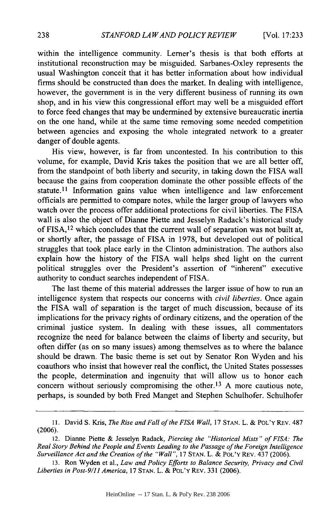within the intelligence community. Lemer's thesis is that both efforts at institutional reconstruction may be misguided. Sarbanes-Oxley represents the usual Washington conceit that it has better information about how individual firms should be constructed than does the market. In dealing with intelligence, however, the government is in the very different business of running its own shop, and in his view this congressional effort may well be a misguided effort to force feed changes that may be undermined by extensive bureaucratic inertia on the one hand, while at the same time removing some needed competition between agencies and exposing the whole integrated network to a greater danger of double agents.

His view, however, is far from uncontested. In his contribution to this volume, for example, David Kris takes the position that we are all better off, from the standpoint of both liberty and security, in taking down the FISA wall because the gains from cooperation dominate the other possible effects of the statute.<sup>11</sup> Information gains value when intelligence and law enforcement officials are permitted to compare notes, while the larger group of lawyers who watch over the process offer additional protections for civil liberties. The FISA wall is also the object of Dianne Piette and Jesselyn Radack's historical study of FISA, 12 which concludes that the current wall of separation was not built at, or shortly after, the passage of FISA in 1978, but developed out of political struggles that took place early in the Clinton administration. The authors also explain how the history of the FISA wall helps shed light on the current political struggles over the President's assertion of "inherent" executive authority to conduct searches independent of FISA.

The last theme of this material addresses the larger issue of how to run an intelligence system that respects our concerns with *civil liberties.* Once again the FISA wall of separation is the target of much discussion, because of its implications for the privacy rights of ordinary citizens, and the operation of the criminal justice system. In dealing with these issues, all commentators recognize the need for balance between the claims of liberty and security, but often differ (as on so many issues) among themselves as to where the balance should be drawn. The basic theme is set out by Senator Ron Wyden and his coauthors who insist that however real the conflict, the United States possesses the people, determination and ingenuity that will allow us to honor each concern without seriously compromising the other.<sup>13</sup> A more cautious note, perhaps, is sounded by both Fred Manget and Stephen Schulhofer. Schulhofer

**<sup>11.</sup>** David S. Kris, *The Rise and Fall of the FISA Wall,* 17 STAN. L. & POL'Y REv. 487 (2006).

<sup>12.</sup> Dianne Piette & Jesselyn Radack, *Piercing the "Historical Mists" of FISA: The Real Story Behind the People and Events Leading to the Passage of the Foreign Intelligence Surveillance Act and the Creation of the "Wall",* 17 STAN. L. & POL'Y REv. 437 (2006).

<sup>13.</sup> Ron Wyden et al., *Law and Policy Efforts to Balance Security, Privacy and Civil Liberties in Post-9/1 America,* 17 STAN. L. & POL'Y REv. 331 (2006).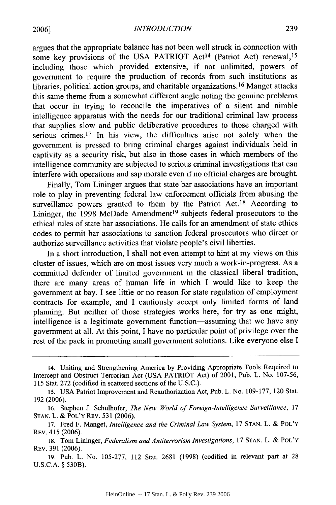argues that the appropriate balance has not been well struck in connection with some key provisions of the USA PATRIOT Act<sup>14</sup> (Patriot Act) renewal, <sup>15</sup> including those which provided extensive, if not unlimited, powers of government to require the production of records from such institutions as libraries, political action groups, and charitable organizations.<sup>16</sup> Manget attacks this same theme from a somewhat different angle noting the genuine problems that occur in trying to reconcile the imperatives of a silent and nimble intelligence apparatus with the needs for our traditional criminal law process that supplies slow and public deliberative procedures to those charged with serious crimes.<sup>17</sup> In his view, the difficulties arise not solely when the government is pressed to bring criminal charges against individuals held in captivity as a security risk, but also in those cases in which members of the intelligence community are subjected to serious criminal investigations that can interfere with operations and sap morale even if no official charges are brought.

Finally, Tom Lininger argues that state bar associations have an important role to play in preventing federal law enforcement officials from abusing the surveillance powers granted to them by the Patriot Act.<sup>18</sup> According to Lininger, the 1998 McDade Amendment<sup>19</sup> subjects federal prosecutors to the ethical rules of state bar associations. He calls for an amendment of state ethics codes to permit bar associations to sanction federal prosecutors who direct or authorize surveillance activities that violate people's civil liberties.

In a short introduction, I shall not even attempt to hint at my views on this cluster of issues, which are on most issues very much a work-in-progress. As a committed defender of limited government in the classical liberal tradition, there are many areas of human life in which I would like to keep the government at bay. I see little or no reason for state regulation of employment contracts for example, and I cautiously accept only limited forms of land planning. But neither of those strategies works here, for try as one might, intelligence is a legitimate government function-assuming that we have any government at all. At this point, I have no particular point of privilege over the rest of the pack in promoting small government solutions. Like everyone else I

14. Uniting and Strengthening America by Providing Appropriate Tools Required to Intercept and Obstruct Terrorism Act (USA PATRIOT Act) of 2001, Pub. L. No. 107-56, 115 Stat. 272 (codified in scattered sections of the U.S.C.).

**<sup>15.</sup>** USA Patriot Improvement and Reauthorization Act, Pub. L. No. 109-177, 120 Stat. 192 (2006).

<sup>16.</sup> Stephen J. Schulhofer, *The New World of Foreign-Intelligence Surveillance,* **17 STAN.** L. & POL'Y REV. 531 (2006).

<sup>17.</sup> Fred F. Manget, *Intelligence and the Criminal Law System,* 17 **STAN.** L. & POL'Y REv. 415 (2006).

<sup>18.</sup> Tom Lininger, *Federalism and Antiterrorism Investigations,* 17 **STAN.** L. & POL'Y REv. 391 (2006).

<sup>19.</sup> Pub. L. No. 105-277, 112 Stat. 2681 (1998) (codified in relevant part at 28 U.S.C.A. § 530B).